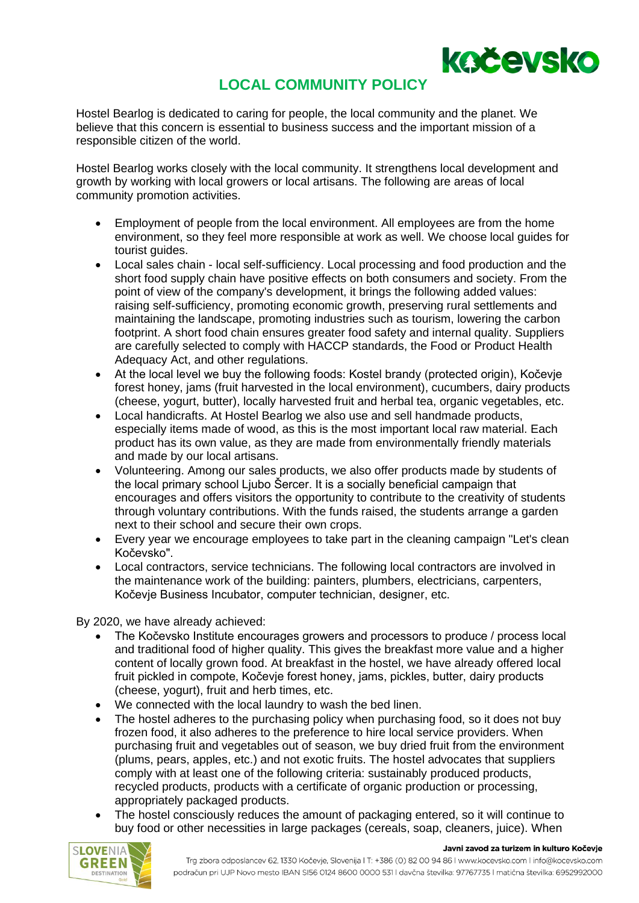

## **LOCAL COMMUNITY POLICY**

Hostel Bearlog is dedicated to caring for people, the local community and the planet. We believe that this concern is essential to business success and the important mission of a responsible citizen of the world.

Hostel Bearlog works closely with the local community. It strengthens local development and growth by working with local growers or local artisans. The following are areas of local community promotion activities.

- Employment of people from the local environment. All employees are from the home environment, so they feel more responsible at work as well. We choose local guides for tourist quides.
- Local sales chain local self-sufficiency. Local processing and food production and the short food supply chain have positive effects on both consumers and society. From the point of view of the company's development, it brings the following added values: raising self-sufficiency, promoting economic growth, preserving rural settlements and maintaining the landscape, promoting industries such as tourism, lowering the carbon footprint. A short food chain ensures greater food safety and internal quality. Suppliers are carefully selected to comply with HACCP standards, the Food or Product Health Adequacy Act, and other regulations.
- At the local level we buy the following foods: Kostel brandy (protected origin), Kočevje forest honey, jams (fruit harvested in the local environment), cucumbers, dairy products (cheese, yogurt, butter), locally harvested fruit and herbal tea, organic vegetables, etc.
- Local handicrafts. At Hostel Bearlog we also use and sell handmade products, especially items made of wood, as this is the most important local raw material. Each product has its own value, as they are made from environmentally friendly materials and made by our local artisans.
- Volunteering. Among our sales products, we also offer products made by students of the local primary school Ljubo Šercer. It is a socially beneficial campaign that encourages and offers visitors the opportunity to contribute to the creativity of students through voluntary contributions. With the funds raised, the students arrange a garden next to their school and secure their own crops.
- Every year we encourage employees to take part in the cleaning campaign "Let's clean Kočevsko".
- Local contractors, service technicians. The following local contractors are involved in the maintenance work of the building: painters, plumbers, electricians, carpenters, Kočevje Business Incubator, computer technician, designer, etc.

By 2020, we have already achieved:

- The Kočevsko Institute encourages growers and processors to produce / process local and traditional food of higher quality. This gives the breakfast more value and a higher content of locally grown food. At breakfast in the hostel, we have already offered local fruit pickled in compote, Kočevje forest honey, jams, pickles, butter, dairy products (cheese, yogurt), fruit and herb times, etc.
- We connected with the local laundry to wash the bed linen.
- The hostel adheres to the purchasing policy when purchasing food, so it does not buy frozen food, it also adheres to the preference to hire local service providers. When purchasing fruit and vegetables out of season, we buy dried fruit from the environment (plums, pears, apples, etc.) and not exotic fruits. The hostel advocates that suppliers comply with at least one of the following criteria: sustainably produced products, recycled products, products with a certificate of organic production or processing, appropriately packaged products.
- The hostel consciously reduces the amount of packaging entered, so it will continue to buy food or other necessities in large packages (cereals, soap, cleaners, juice). When